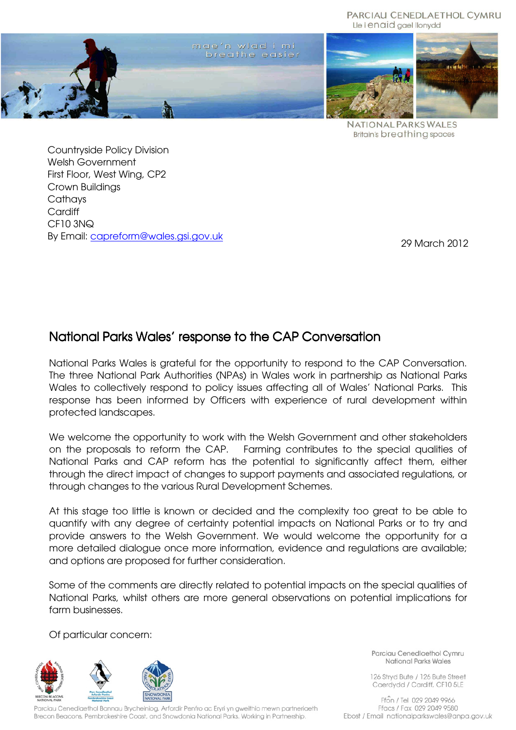PARCIAU CENEDLAETHOL CYMRU Lle i enaid gael llonydd





**NATIONAL PARKS WALES Britain's breathing spaces** 

Countryside Policy Division Welsh Government First Floor, West Wing, CP2 Crown Buildings **Cathays Cardiff** CF10 3NQ By Email: capreform@wales.gsi.gov.uk

29 March 2012

# National Parks Wales' response to the CAP Conversation

National Parks Wales is grateful for the opportunity to respond to the CAP Conversation. The three National Park Authorities (NPAs) in Wales work in partnership as National Parks Wales to collectively respond to policy issues affecting all of Wales' National Parks. This response has been informed by Officers with experience of rural development within protected landscapes.

We welcome the opportunity to work with the Welsh Government and other stakeholders on the proposals to reform the CAP. Farming contributes to the special qualities of National Parks and CAP reform has the potential to significantly affect them, either through the direct impact of changes to support payments and associated regulations, or through changes to the various Rural Development Schemes.

At this stage too little is known or decided and the complexity too great to be able to quantify with any degree of certainty potential impacts on National Parks or to try and provide answers to the Welsh Government. We would welcome the opportunity for a more detailed dialogue once more information, evidence and regulations are available; and options are proposed for further consideration.

Some of the comments are directly related to potential impacts on the special qualities of National Parks, whilst others are more general observations on potential implications for farm businesses.

Of particular concern:



Parciau Cenedlaethol Bannau Brycheiniog, Arfordir Penfro ac Eryri yn gweithio mewn partneriaeth Brecon Beacons, Pembrokeshire Coast, and Snowdonia National Parks. Working in Partnership.

Parciau Cenedlaethol Cymru National Parks Wales

126 Stryd Bute / 126 Bute Street Caerdydd / Cardiff, CF10 5LE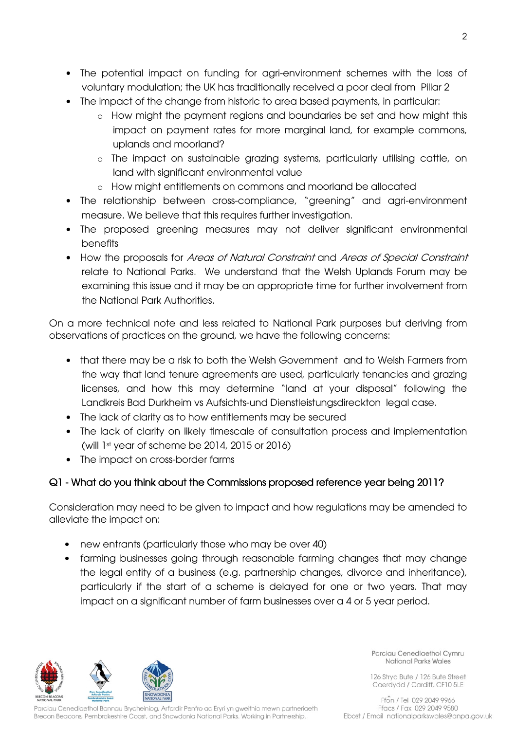- The potential impact on funding for agri-environment schemes with the loss of voluntary modulation; the UK has traditionally received a poor deal from Pillar 2
- The impact of the change from historic to area based payments, in particular:
	- o How might the payment regions and boundaries be set and how might this impact on payment rates for more marginal land, for example commons, uplands and moorland?
	- o The impact on sustainable grazing systems, particularly utilising cattle, on land with significant environmental value
	- o How might entitlements on commons and moorland be allocated
- The relationship between cross-compliance, "greening" and agri-environment measure. We believe that this requires further investigation.
- The proposed greening measures may not deliver significant environmental benefits
- How the proposals for Areas of Natural Constraint and Areas of Special Constraint relate to National Parks. We understand that the Welsh Uplands Forum may be examining this issue and it may be an appropriate time for further involvement from the National Park Authorities.

On a more technical note and less related to National Park purposes but deriving from observations of practices on the ground, we have the following concerns:

- that there may be a risk to both the Welsh Government and to Welsh Farmers from the way that land tenure agreements are used, particularly tenancies and grazing licenses, and how this may determine "land at your disposal" following the Landkreis Bad Durkheim vs Aufsichts-und Dienstleistungsdireckton legal case.
- The lack of clarity as to how entitlements may be secured
- The lack of clarity on likely timescale of consultation process and implementation (will 1st year of scheme be 2014, 2015 or 2016)
- The impact on cross-border farms

## Q1 - What do you think about the Commissions proposed reference year being 2011?

Consideration may need to be given to impact and how regulations may be amended to alleviate the impact on:

- new entrants (particularly those who may be over 40)
- farming businesses going through reasonable farming changes that may change the legal entity of a business (e.g. partnership changes, divorce and inheritance), particularly if the start of a scheme is delayed for one or two years. That may impact on a significant number of farm businesses over a 4 or 5 year period.



Parciau Cenedlaethol Bannau Brycheiniog, Arfordir Penfro ac Eryri yn gweithio mewn partneriaeth Brecon Beacons, Pembrokeshire Coast, and Snowdonia National Parks. Working in Partnership.

Parciau Cenedlaethol Cymru National Parks Wales

126 Stryd Bute / 126 Bute Street Caerdydd / Cardiff, CF10 5LE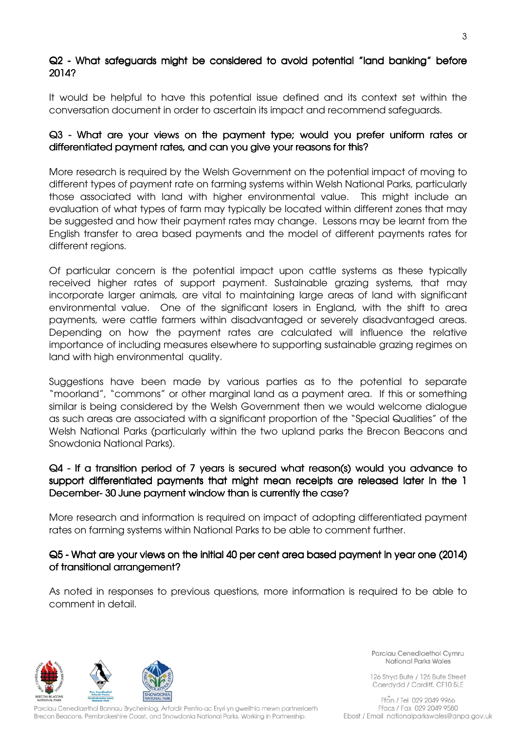## Q2 - What safeguards might be considered to avoid potential "land banking" before 2014?

It would be helpful to have this potential issue defined and its context set within the conversation document in order to ascertain its impact and recommend safeguards.

## Q3 - What are your views on the payment type; would you prefer uniform rates or differentiated payment rates, and can you give your reasons for this?

More research is required by the Welsh Government on the potential impact of moving to different types of payment rate on farming systems within Welsh National Parks, particularly those associated with land with higher environmental value. This might include an evaluation of what types of farm may typically be located within different zones that may be suggested and how their payment rates may change. Lessons may be learnt from the English transfer to area based payments and the model of different payments rates for different regions.

Of particular concern is the potential impact upon cattle systems as these typically received higher rates of support payment. Sustainable grazing systems, that may incorporate larger animals, are vital to maintaining large areas of land with significant environmental value. One of the significant losers in England, with the shift to area payments, were cattle farmers within disadvantaged or severely disadvantaged areas. Depending on how the payment rates are calculated will influence the relative importance of including measures elsewhere to supporting sustainable grazing regimes on land with high environmental quality.

Suggestions have been made by various parties as to the potential to separate "moorland", "commons" or other marginal land as a payment area. If this or something similar is being considered by the Welsh Government then we would welcome dialogue as such areas are associated with a significant proportion of the "Special Qualities" of the Welsh National Parks (particularly within the two upland parks the Brecon Beacons and Snowdonia National Parks).

## Q4 - If a transition period of 7 years is secured what reason(s) would you advance to support differentiated payments that might mean receipts are released later in the 1 December- 30 June payment window than is currently the case?

More research and information is required on impact of adopting differentiated payment rates on farming systems within National Parks to be able to comment further.

#### Q5 - What are your views on the initial 40 per cent area based payment in year one (2014) of transitional arrangement?

As noted in responses to previous questions, more information is required to be able to comment in detail.



Parciau Cenedlaethol Bannau Brycheiniog, Arfordir Penfro ac Eryri yn gweithio mewn partneriaeth Brecon Beacons, Pembrokeshire Coast, and Snowdonia National Parks. Working in Partnership.

Parciau Cenedlaethol Cymru National Parks Wales

126 Stryd Bute / 126 Bute Street Caerdydd / Cardiff, CF10 5LE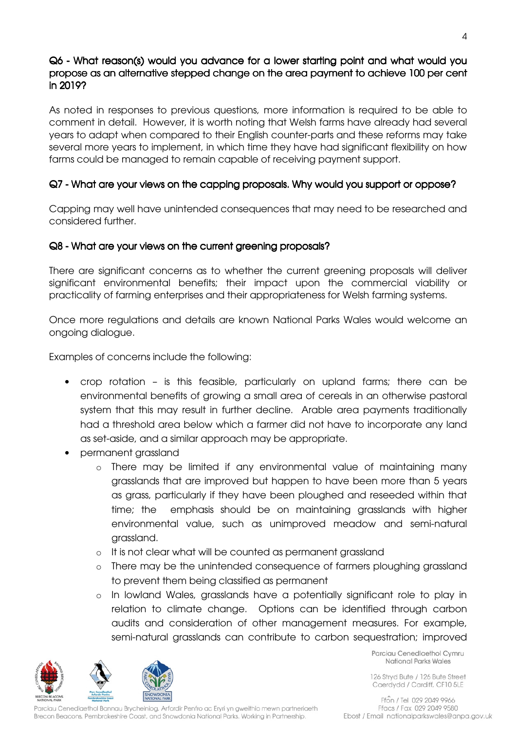## Q6 - What reason(s) would you advance for a lower starting point and what would you propose as an alternative stepped change on the area payment to achieve 100 per cent a in 2019?

As noted in responses to previous questions, more information is required to be able to comment in detail. However, it is worth noting that Welsh farms have already had several years to adapt when compared to their English counter-parts and these reforms may take several more years to implement, in which time they have had significant flexibility on how farms could be managed to remain capable of receiving payment support.

## Q7 - What are your views on the capping proposals. Why would you support or oppose?

Capping may well have unintended consequences that may need to be researched and considered further.

#### Q8 - What are your views on the current greening proposals?

There are significant concerns as to whether the current greening proposals will deliver significant environmental benefits; their impact upon the commercial viability or practicality of farming enterprises and their appropriateness for Welsh farming systems.

Once more regulations and details are known National Parks Wales would welcome an ongoing dialogue.

Examples of concerns include the following:

- crop rotation is this feasible, particularly on upland farms; there can be environmental benefits of growing a small area of cereals in an otherwise pastoral system that this may result in further decline. Arable area payments traditionally had a threshold area below which a farmer did not have to incorporate any land as set-aside, and a similar approach may be appropriate.
- permanent grassland
	- o There may be limited if any environmental value of maintaining many grasslands that are improved but happen to have been more than 5 years as grass, particularly if they have been ploughed and reseeded within that time; the emphasis should be on maintaining grasslands with higher environmental value, such as unimproved meadow and semi-natural grassland.
	- o It is not clear what will be counted as permanent grassland
	- o There may be the unintended consequence of farmers ploughing grassland to prevent them being classified as permanent
	- o In lowland Wales, grasslands have a potentially significant role to play in relation to climate change. Options can be identified through carbon audits and consideration of other management measures. For example, semi-natural grasslands can contribute to carbon sequestration; improved



Parciau Cenedlaethol Bannau Brycheiniog, Arfordir Penfro ac Eryri yn gweithio mewn partneriaeth Brecon Beacons, Pembrokeshire Coast, and Snowdonia National Parks. Working in Partnership.

Parciau Cenedlaethol Cymru National Parks Wales

126 Stryd Bute / 126 Bute Street Caerdydd / Cardiff, CF10 5LE

4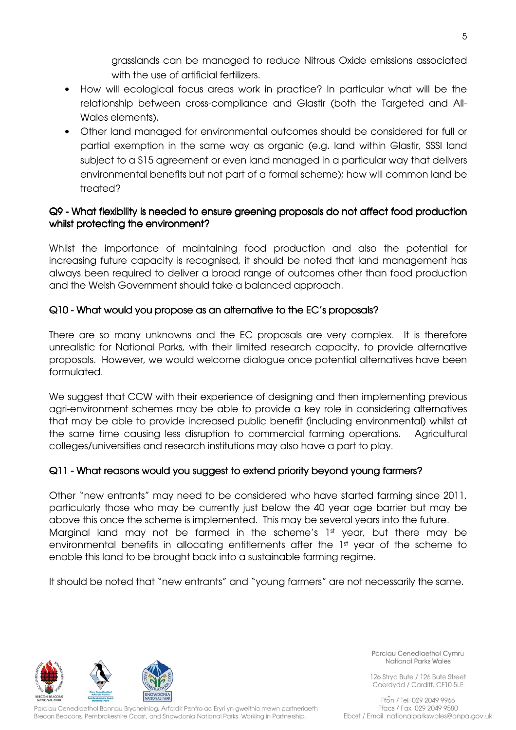grasslands can be managed to reduce Nitrous Oxide emissions associated with the use of artificial fertilizers.

- How will ecological focus areas work in practice? In particular what will be the relationship between cross-compliance and Glastir (both the Targeted and All-Wales elements).
- Other land managed for environmental outcomes should be considered for full or partial exemption in the same way as organic (e.g. land within Glastir, SSSI land subject to a S15 agreement or even land managed in a particular way that delivers environmental benefits but not part of a formal scheme); how will common land be treated?

## Q9 - What flexibility is needed to ensure greening proposals do not affect food production whilst protecting the environment?

Whilst the importance of maintaining food production and also the potential for increasing future capacity is recognised, it should be noted that land management has always been required to deliver a broad range of outcomes other than food production and the Welsh Government should take a balanced approach.

## Q10 - What would you propose as an alternative to the EC's proposals?

There are so many unknowns and the EC proposals are very complex. It is therefore unrealistic for National Parks, with their limited research capacity, to provide alternative proposals. However, we would welcome dialogue once potential alternatives have been formulated.

We suggest that CCW with their experience of designing and then implementing previous agri-environment schemes may be able to provide a key role in considering alternatives that may be able to provide increased public benefit (including environmental) whilst at the same time causing less disruption to commercial farming operations. Agricultural colleges/universities and research institutions may also have a part to play.

## Q11 - What reasons would you suggest to extend priority beyond young farmers?

Other "new entrants" may need to be considered who have started farming since 2011, particularly those who may be currently just below the 40 year age barrier but may be above this once the scheme is implemented. This may be several years into the future. Marginal land may not be farmed in the scheme's 1st year, but there may be environmental benefits in allocating entitlements after the 1st year of the scheme to enable this land to be brought back into a sustainable farming regime.

It should be noted that "new entrants" and "young farmers" are not necessarily the same.



Parciau Cenedlaethol Bannau Brycheiniog, Arfordir Penfro ac Eryri yn gweithio mewn partneriaeth Brecon Beacons, Pembrokeshire Coast, and Snowdonia National Parks. Working in Partnership.

Parciau Cenedlaethol Cymru National Parks Wales

126 Stryd Bute / 126 Bute Street Caerdydd / Cardiff, CF10 5LE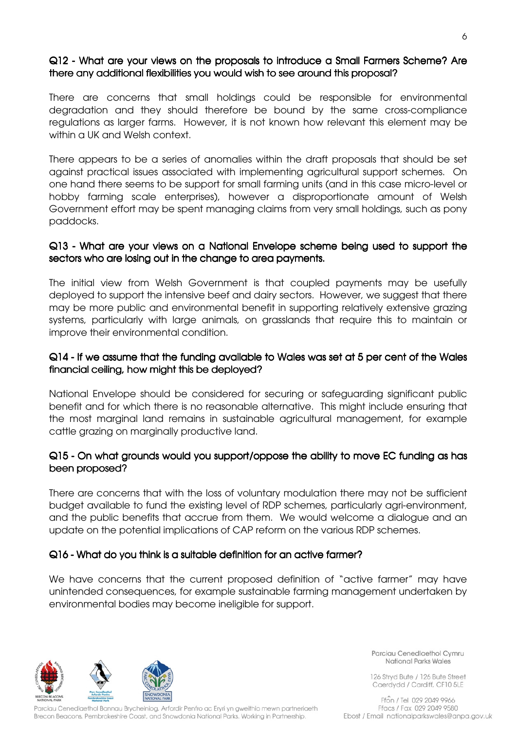#### Q12 - What are your views on the proposals to introduce a Small Farmers Scheme? Are there any additional flexibilities you would wish to see around this proposal?

There are concerns that small holdings could be responsible for environmental degradation and they should therefore be bound by the same cross-compliance regulations as larger farms. However, it is not known how relevant this element may be within a UK and Welsh context.

There appears to be a series of anomalies within the draft proposals that should be set against practical issues associated with implementing agricultural support schemes. On one hand there seems to be support for small farming units (and in this case micro-level or hobby farming scale enterprises), however a disproportionate amount of Welsh Government effort may be spent managing claims from very small holdings, such as pony paddocks.

#### Q13 - What are your views on a National Envelope scheme being used to support the sectors who are losing out in the change to area payments.

The initial view from Welsh Government is that coupled payments may be usefully deployed to support the intensive beef and dairy sectors. However, we suggest that there may be more public and environmental benefit in supporting relatively extensive grazing systems, particularly with large animals, on grasslands that require this to maintain or improve their environmental condition.

#### $Q14$  - If we assume that the funding available to Wales was set at 5 per cent of the Wales financial ceiling, how might this be deployed?

National Envelope should be considered for securing or safeguarding significant public benefit and for which there is no reasonable alternative. This might include ensuring that the most marginal land remains in sustainable agricultural management, for example cattle grazing on marginally productive land.

## Q15 - On what grounds would you support/oppose the ability to move EC funding as has been proposed?

There are concerns that with the loss of voluntary modulation there may not be sufficient budget available to fund the existing level of RDP schemes, particularly agri-environment, and the public benefits that accrue from them. We would welcome a dialogue and an update on the potential implications of CAP reform on the various RDP schemes.

#### Q16 - What do you think is a suitable definition for an active farmer?

We have concerns that the current proposed definition of "active farmer" may have unintended consequences, for example sustainable farming management undertaken by environmental bodies may become ineligible for support.



Parciau Cenedlaethol Bannau Brycheiniog, Arfordir Penfro ac Eryri yn gweithio mewn partneriaeth Brecon Beacons, Pembrokeshire Coast, and Snowdonia National Parks. Working in Partnership.

Parciau Cenedlaethol Cymru National Parks Wales

126 Stryd Bute / 126 Bute Street Caerdydd / Cardiff, CF10 5LE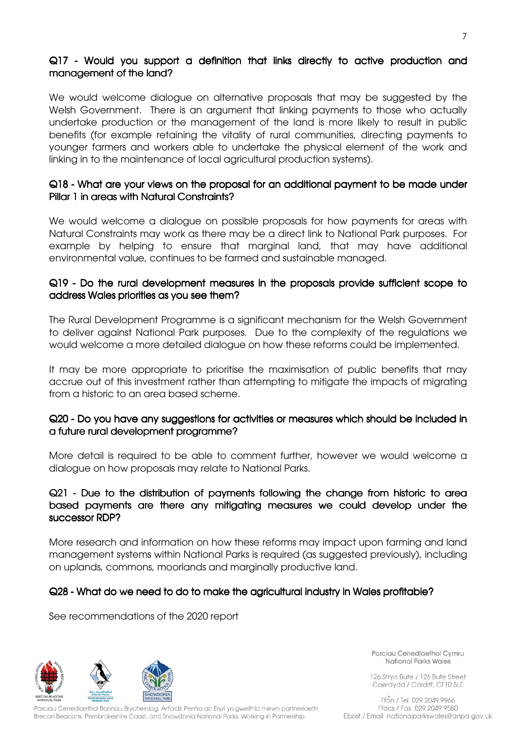## $Q17$  - Would you support a definition that links directly to active production and management of the land?

We would welcome dialogue on alternative proposals that may be suggested by the Welsh Government. There is an argument that linking payments to those who actually undertake production or the management of the land is more likely to result in public benefits (for example retaining the vitality of rural communities, directing payments to younger farmers and workers able to undertake the physical element of the work and linking in to the maintenance of local agricultural production systems).

#### Q18 - What are your views on the proposal for an additional payment to be made under Pillar 1 in areas with Natural Constraints?

We would welcome a dialogue on possible proposals for how payments for areas with Natural Constraints may work as there may be a direct link to National Park purposes. For example by helping to ensure that marginal land, that may have additional environmental value, continues to be farmed and sustainable managed.

#### Q19 - Do the rural development measures in the proposals provide sufficient scope to address Wales priorities as you see them?

The Rural Development Programme is a significant mechanism for the Welsh Government to deliver against National Park purposes. Due to the complexity of the regulations we would welcome a more detailed dialogue on how these reforms could be implemented.

It may be more appropriate to prioritise the maximisation of public benefits that may accrue out of this investment rather than attempting to mitigate the impacts of migrating from a historic to an area based scheme.

#### Q20 - Do you have any suggestions for activities or measures which should be included in a future rural development programme? a future rural development programme?

More detail is required to be able to comment further, however we would welcome a dialogue on how proposals may relate to National Parks.

#### Q21 - Due to the distribution of payments following the change from historic to area based payments are there any mitigating measures we could develop under the successor RDP?

More research and information on how these reforms may impact upon farming and land management systems within National Parks is required (as suggested previously), including on uplands, commons, moorlands and marginally productive land.

#### Q28 - What do we need to do to make the agricultural industry in Wales profitable?

See recommendations of the 2020 report



arciau Cenedlaethol Bannau Brycheiniog, Arfordir Penfro ac Eryri yn gweithio mewn partneriaeth Brecon Beacons, Pembrokeshire Coast, and Snowdonia National Parks. Working in Partnership.

Parciau Cenediaethol Cymru National Parks Wales

126 Stryd Bute / 126 Bute Street Caerdydd / Cardiff, CF10 5LE